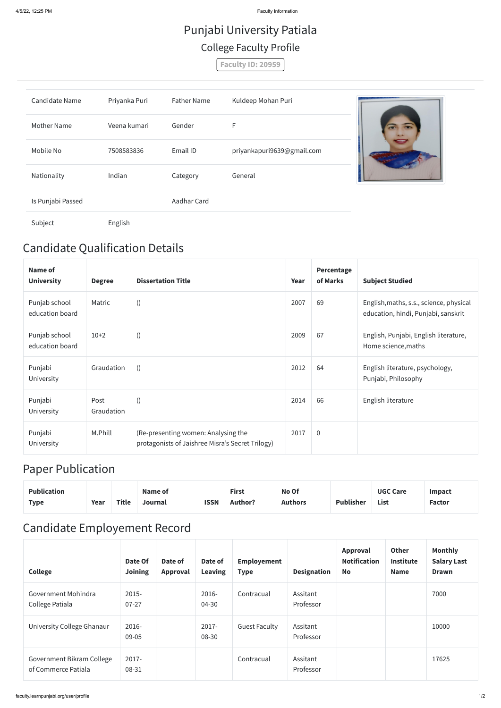4/5/22, 12:25 PM Faculty Information

## Candidate Qualification Details

| Name of<br><b>University</b>     | <b>Degree</b>      | <b>Dissertation Title</b>                                                               | Year | Percentage<br>of Marks | <b>Subject Studied</b>                                                         |
|----------------------------------|--------------------|-----------------------------------------------------------------------------------------|------|------------------------|--------------------------------------------------------------------------------|
| Punjab school<br>education board | Matric             | $\left( \right)$                                                                        | 2007 | 69                     | English, maths, s.s., science, physical<br>education, hindi, Punjabi, sanskrit |
| Punjab school<br>education board | $10+2$             |                                                                                         | 2009 | 67                     | English, Punjabi, English literature,<br>Home science, maths                   |
| Punjabi<br>University            | Graudation         | $\left( \right)$                                                                        | 2012 | 64                     | English literature, psychology,<br>Punjabi, Philosophy                         |
| Punjabi<br>University            | Post<br>Graudation | $\left( \right)$                                                                        | 2014 | 66                     | English literature                                                             |
| Punjabi<br>University            | M.Phill            | (Re-presenting women: Analysing the<br>protagonists of Jaishree Misra's Secret Trilogy) | 2017 | $\boldsymbol{0}$       |                                                                                |

## Paper Publication

| Publication |      |       | Name of |             | <b>First</b>   | No Of          |                  | <b>UGC Care</b> | <b>Impact</b> |
|-------------|------|-------|---------|-------------|----------------|----------------|------------------|-----------------|---------------|
| <b>Type</b> | Year | Title | Journal | <b>ISSN</b> | <b>Author?</b> | <b>Authors</b> | <b>Publisher</b> | List            | <b>Factor</b> |

## Candidate Employement Record

| <b>College</b>                                   | Date Of<br><b>Joining</b> | Date of<br>Approval | Date of<br><b>Leaving</b> | <b>Employement</b><br><b>Type</b> | <b>Designation</b>    | Approval<br><b>Notification</b><br><b>No</b> | <b>Other</b><br><b>Institute</b><br><b>Name</b> | <b>Monthly</b><br><b>Salary Last</b><br><b>Drawn</b> |
|--------------------------------------------------|---------------------------|---------------------|---------------------------|-----------------------------------|-----------------------|----------------------------------------------|-------------------------------------------------|------------------------------------------------------|
| Government Mohindra<br>College Patiala           | $2015 -$<br>$07 - 27$     |                     | 2016-<br>04-30            | Contracual                        | Assitant<br>Professor |                                              |                                                 | 7000                                                 |
| University College Ghanaur                       | 2016-<br>09-05            |                     | 2017-<br>08-30            | <b>Guest Faculty</b>              | Assitant<br>Professor |                                              |                                                 | 10000                                                |
| Government Bikram College<br>of Commerce Patiala | 2017-<br>08-31            |                     |                           | Contracual                        | Assitant<br>Professor |                                              |                                                 | 17625                                                |

## Punjabi University Patiala College Faculty Profile

**Faculty ID: 20959**

| Candidate Name     | Priyanka Puri | <b>Father Name</b> | Kuldeep Mohan Puri         |  |
|--------------------|---------------|--------------------|----------------------------|--|
| <b>Mother Name</b> | Veena kumari  | Gender             | F                          |  |
| Mobile No          | 7508583836    | Email ID           | priyankapuri9639@gmail.com |  |
| Nationality        | Indian        | Category           | General                    |  |
| Is Punjabi Passed  |               | Aadhar Card        |                            |  |
| Subject            | English       |                    |                            |  |